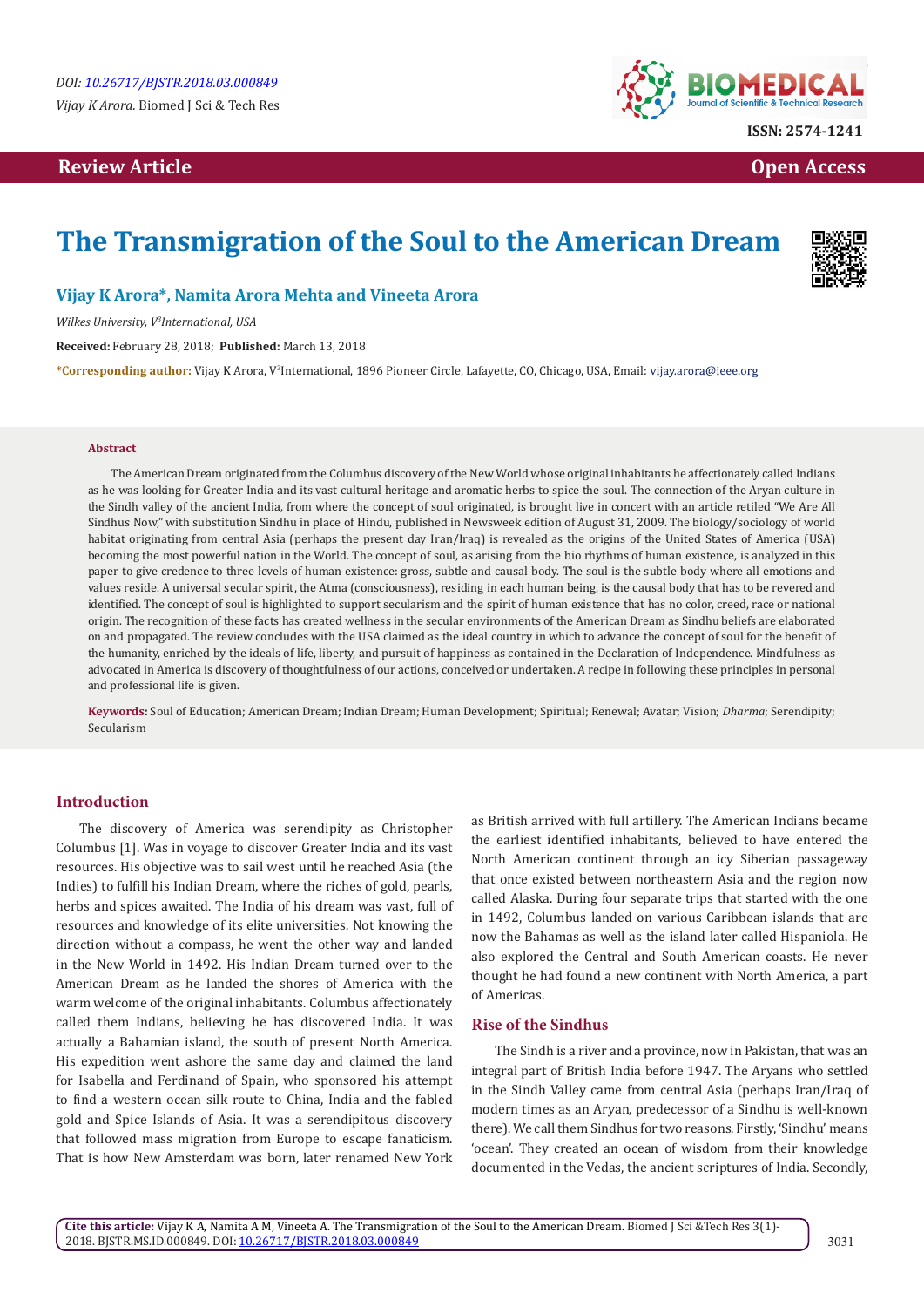## **Review Article Contract Contract Contract Contract Contract Contract Contract Contract Contract Contract Contract Contract Contract Contract Contract Contract Contract Contract Contract Contract Contract Contract Contract**



# **The Transmigration of the Soul to the American Dream**



## **Vijay K Arora\*, Namita Arora Mehta and Vineeta Arora**

*Wilkes University, V3 International, USA*

**Received:** February 28, 2018; **Published:** March 13, 2018

**\*Corresponding author:** Vijay K Arora, V<sup>3</sup> International, 1896 Pioneer Circle, Lafayette, CO, Chicago, USA, Email:

#### **Abstract**

The American Dream originated from the Columbus discovery of the New World whose original inhabitants he affectionately called Indians as he was looking for Greater India and its vast cultural heritage and aromatic herbs to spice the soul. The connection of the Aryan culture in the Sindh valley of the ancient India, from where the concept of soul originated, is brought live in concert with an article retiled "We Are All Sindhus Now," with substitution Sindhu in place of Hindu, published in Newsweek edition of August 31, 2009. The biology/sociology of world habitat originating from central Asia (perhaps the present day Iran/Iraq) is revealed as the origins of the United States of America (USA) becoming the most powerful nation in the World. The concept of soul, as arising from the bio rhythms of human existence, is analyzed in this paper to give credence to three levels of human existence: gross, subtle and causal body. The soul is the subtle body where all emotions and values reside. A universal secular spirit, the Atma (consciousness), residing in each human being, is the causal body that has to be revered and identified. The concept of soul is highlighted to support secularism and the spirit of human existence that has no color, creed, race or national origin. The recognition of these facts has created wellness in the secular environments of the American Dream as Sindhu beliefs are elaborated on and propagated. The review concludes with the USA claimed as the ideal country in which to advance the concept of soul for the benefit of the humanity, enriched by the ideals of life, liberty, and pursuit of happiness as contained in the Declaration of Independence. Mindfulness as advocated in America is discovery of thoughtfulness of our actions, conceived or undertaken. A recipe in following these principles in personal and professional life is given.

**Keywords:** Soul of Education; American Dream; Indian Dream; Human Development; Spiritual; Renewal; Avatar; Vision; *Dharma*; Serendipity; Secularism

#### **Introduction**

The discovery of America was serendipity as Christopher Columbus [1]. Was in voyage to discover Greater India and its vast resources. His objective was to sail west until he reached Asia (the Indies) to fulfill his Indian Dream, where the riches of gold, pearls, herbs and spices awaited. The India of his dream was vast, full of resources and knowledge of its elite universities. Not knowing the direction without a compass, he went the other way and landed in the New World in 1492. His Indian Dream turned over to the American Dream as he landed the shores of America with the warm welcome of the original inhabitants. Columbus affectionately called them Indians, believing he has discovered India. It was actually a Bahamian island, the south of present North America. His expedition went ashore the same day and claimed the land for Isabella and Ferdinand of Spain, who sponsored his attempt to find a western ocean silk route to China, India and the fabled gold and Spice Islands of Asia. It was a serendipitous discovery that followed mass migration from Europe to escape fanaticism. That is how New Amsterdam was born, later renamed New York as British arrived with full artillery. The American Indians became the earliest identified inhabitants, believed to have entered the North American continent through an icy Siberian passageway that once existed between northeastern Asia and the region now called Alaska. During four separate trips that started with the one in 1492, Columbus landed on various Caribbean islands that are now the Bahamas as well as the island later called Hispaniola. He also explored the Central and South American coasts. He never thought he had found a new continent with North America, a part of Americas.

#### **Rise of the Sindhus**

The Sindh is a river and a province, now in Pakistan, that was an integral part of British India before 1947. The Aryans who settled in the Sindh Valley came from central Asia (perhaps Iran/Iraq of modern times as an Aryan, predecessor of a Sindhu is well-known there). We call them Sindhus for two reasons. Firstly, 'Sindhu' means 'ocean'. They created an ocean of wisdom from their knowledge documented in the Vedas, the ancient scriptures of India. Secondly,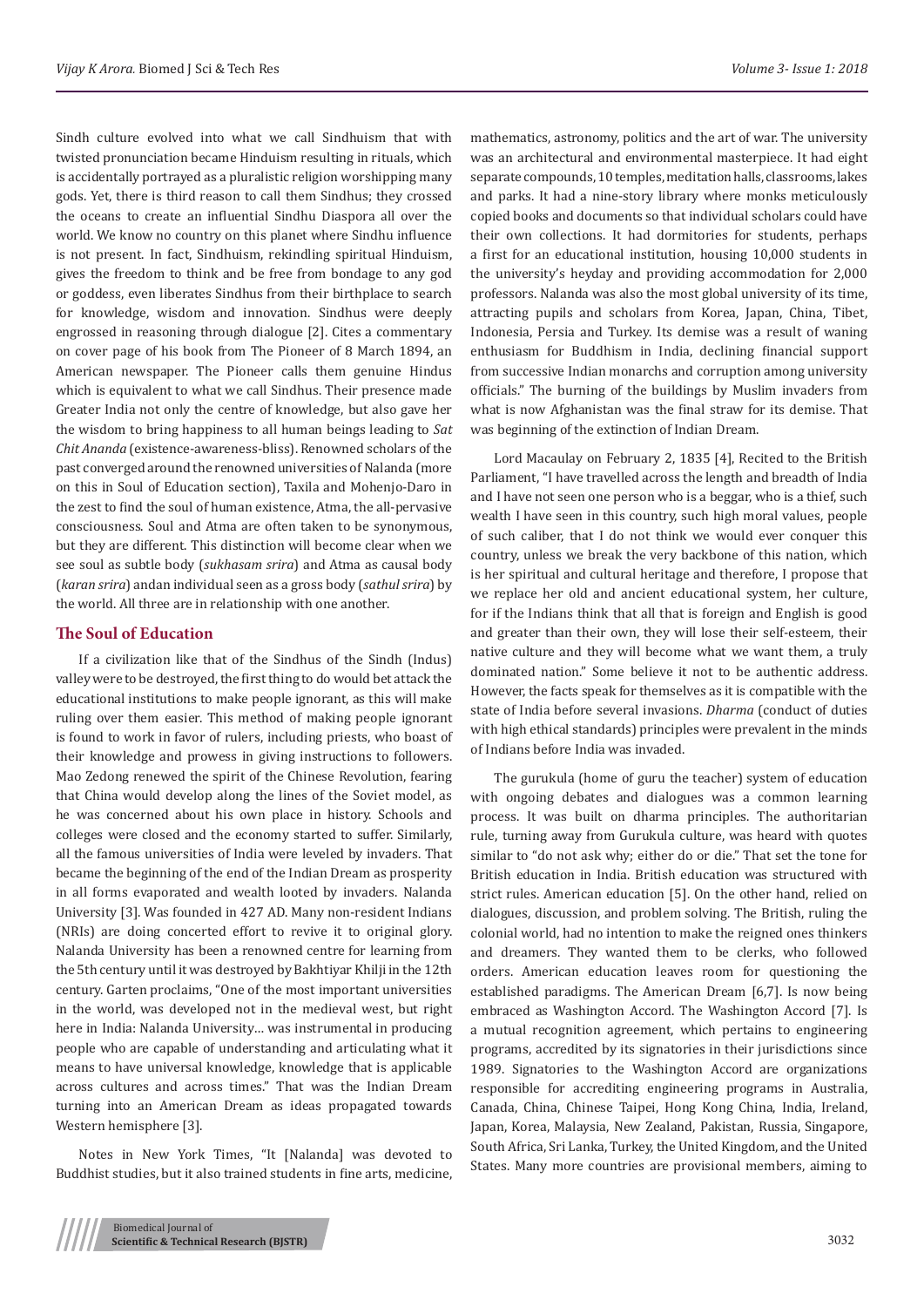Sindh culture evolved into what we call Sindhuism that with twisted pronunciation became Hinduism resulting in rituals, which is accidentally portrayed as a pluralistic religion worshipping many gods. Yet, there is third reason to call them Sindhus; they crossed the oceans to create an influential Sindhu Diaspora all over the world. We know no country on this planet where Sindhu influence is not present. In fact, Sindhuism, rekindling spiritual Hinduism, gives the freedom to think and be free from bondage to any god or goddess, even liberates Sindhus from their birthplace to search for knowledge, wisdom and innovation. Sindhus were deeply engrossed in reasoning through dialogue [2]. Cites a commentary on cover page of his book from The Pioneer of 8 March 1894, an American newspaper. The Pioneer calls them genuine Hindus which is equivalent to what we call Sindhus. Their presence made Greater India not only the centre of knowledge, but also gave her the wisdom to bring happiness to all human beings leading to *Sat Chit Ananda* (existence-awareness-bliss). Renowned scholars of the past converged around the renowned universities of Nalanda (more on this in Soul of Education section), Taxila and Mohenjo-Daro in the zest to find the soul of human existence, Atma, the all-pervasive consciousness. Soul and Atma are often taken to be synonymous, but they are different. This distinction will become clear when we see soul as subtle body (*sukhasam srira*) and Atma as causal body (*karan srira*) andan individual seen as a gross body (*sathul srira*) by the world. All three are in relationship with one another.

## **The Soul of Education**

If a civilization like that of the Sindhus of the Sindh (Indus) valley were to be destroyed, the first thing to do would bet attack the educational institutions to make people ignorant, as this will make ruling over them easier. This method of making people ignorant is found to work in favor of rulers, including priests, who boast of their knowledge and prowess in giving instructions to followers. Mao Zedong renewed the spirit of the Chinese Revolution, fearing that China would develop along the lines of the Soviet model, as he was concerned about his own place in history. Schools and colleges were closed and the economy started to suffer. Similarly, all the famous universities of India were leveled by invaders. That became the beginning of the end of the Indian Dream as prosperity in all forms evaporated and wealth looted by invaders. Nalanda University [3]. Was founded in 427 AD. Many non-resident Indians (NRIs) are doing concerted effort to revive it to original glory. Nalanda University has been a renowned centre for learning from the 5th century until it was destroyed by Bakhtiyar Khilji in the 12th century. Garten proclaims, "One of the most important universities in the world, was developed not in the medieval west, but right here in India: Nalanda University… was instrumental in producing people who are capable of understanding and articulating what it means to have universal knowledge, knowledge that is applicable across cultures and across times." That was the Indian Dream turning into an American Dream as ideas propagated towards Western hemisphere [3].

Notes in New York Times, "It [Nalanda] was devoted to Buddhist studies, but it also trained students in fine arts, medicine, mathematics, astronomy, politics and the art of war. The university was an architectural and environmental masterpiece. It had eight separate compounds, 10 temples, meditation halls, classrooms, lakes and parks. It had a nine-story library where monks meticulously copied books and documents so that individual scholars could have their own collections. It had dormitories for students, perhaps a first for an educational institution, housing 10,000 students in the university's heyday and providing accommodation for 2,000 professors. Nalanda was also the most global university of its time, attracting pupils and scholars from Korea, Japan, China, Tibet, Indonesia, Persia and Turkey. Its demise was a result of waning enthusiasm for Buddhism in India, declining financial support from successive Indian monarchs and corruption among university officials." The burning of the buildings by Muslim invaders from what is now Afghanistan was the final straw for its demise. That was beginning of the extinction of Indian Dream.

Lord Macaulay on February 2, 1835 [4], Recited to the British Parliament, "I have travelled across the length and breadth of India and I have not seen one person who is a beggar, who is a thief, such wealth I have seen in this country, such high moral values, people of such caliber, that I do not think we would ever conquer this country, unless we break the very backbone of this nation, which is her spiritual and cultural heritage and therefore, I propose that we replace her old and ancient educational system, her culture, for if the Indians think that all that is foreign and English is good and greater than their own, they will lose their self-esteem, their native culture and they will become what we want them, a truly dominated nation." Some believe it not to be authentic address. However, the facts speak for themselves as it is compatible with the state of India before several invasions. *Dharma* (conduct of duties with high ethical standards) principles were prevalent in the minds of Indians before India was invaded.

The gurukula (home of guru the teacher) system of education with ongoing debates and dialogues was a common learning process. It was built on dharma principles. The authoritarian rule, turning away from Gurukula culture, was heard with quotes similar to "do not ask why; either do or die." That set the tone for British education in India. British education was structured with strict rules. American education [5]. On the other hand, relied on dialogues, discussion, and problem solving. The British, ruling the colonial world, had no intention to make the reigned ones thinkers and dreamers. They wanted them to be clerks, who followed orders. American education leaves room for questioning the established paradigms. The American Dream [6,7]. Is now being embraced as Washington Accord. The Washington Accord [7]. Is a mutual recognition agreement, which pertains to engineering programs, accredited by its signatories in their jurisdictions since 1989. Signatories to the Washington Accord are organizations responsible for accrediting engineering programs in Australia, Canada, China, Chinese Taipei, Hong Kong China, India, Ireland, Japan, Korea, Malaysia, New Zealand, Pakistan, Russia, Singapore, South Africa, Sri Lanka, Turkey, the United Kingdom, and the United States. Many more countries are provisional members, aiming to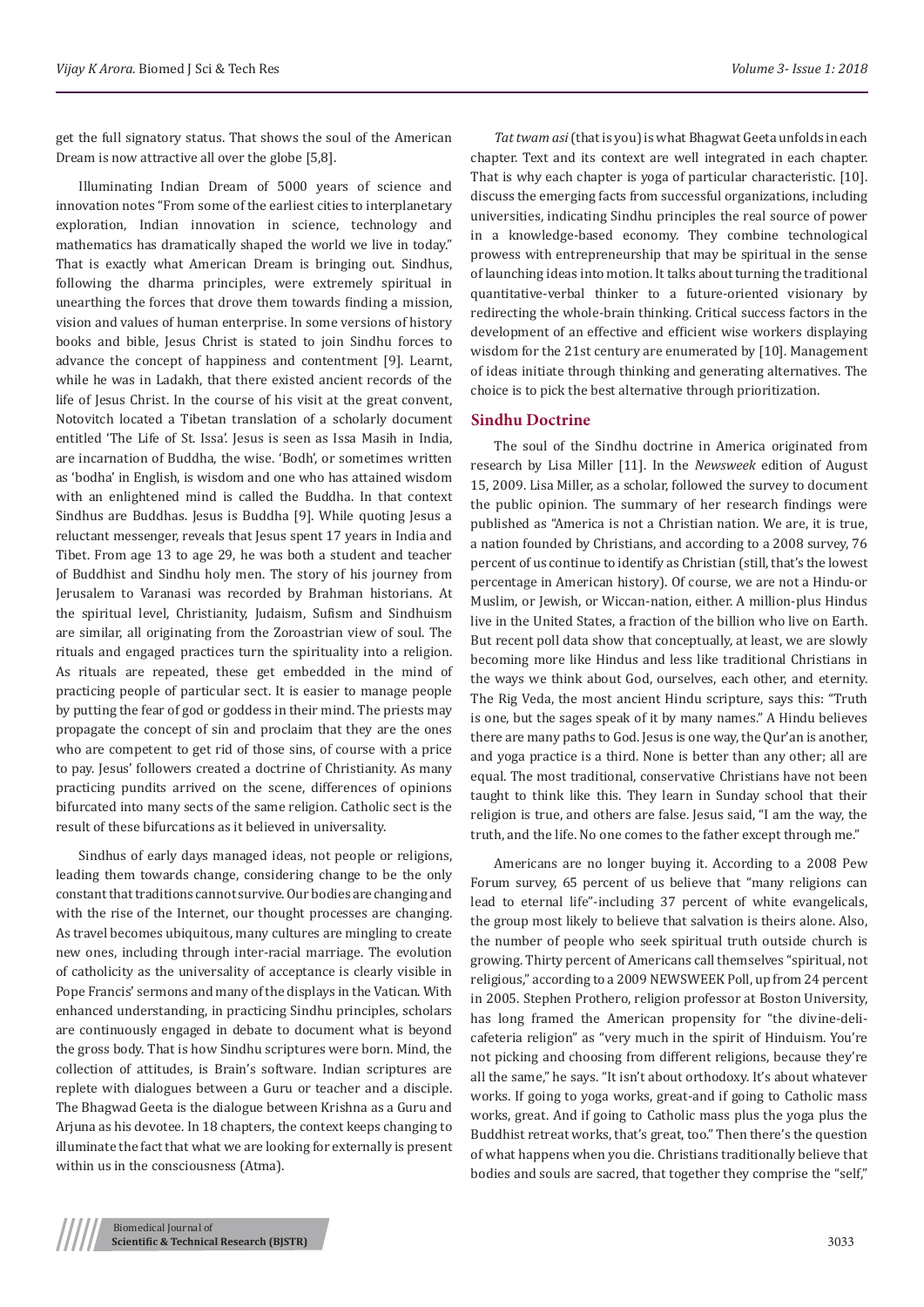get the full signatory status. That shows the soul of the American Dream is now attractive all over the globe [5,8].

Illuminating Indian Dream of 5000 years of science and innovation notes "From some of the earliest cities to interplanetary exploration, Indian innovation in science, technology and mathematics has dramatically shaped the world we live in today." That is exactly what American Dream is bringing out. Sindhus, following the dharma principles, were extremely spiritual in unearthing the forces that drove them towards finding a mission, vision and values of human enterprise. In some versions of history books and bible, Jesus Christ is stated to join Sindhu forces to advance the concept of happiness and contentment [9]. Learnt, while he was in Ladakh, that there existed ancient records of the life of Jesus Christ. In the course of his visit at the great convent, Notovitch located a Tibetan translation of a scholarly document entitled 'The Life of St. Issa'. Jesus is seen as Issa Masih in India, are incarnation of Buddha, the wise. 'Bodh', or sometimes written as 'bodha' in English, is wisdom and one who has attained wisdom with an enlightened mind is called the Buddha. In that context Sindhus are Buddhas. Jesus is Buddha [9]. While quoting Jesus a reluctant messenger, reveals that Jesus spent 17 years in India and Tibet. From age 13 to age 29, he was both a student and teacher of Buddhist and Sindhu holy men. The story of his journey from Jerusalem to Varanasi was recorded by Brahman historians. At the spiritual level, Christianity, Judaism, Sufism and Sindhuism are similar, all originating from the Zoroastrian view of soul. The rituals and engaged practices turn the spirituality into a religion. As rituals are repeated, these get embedded in the mind of practicing people of particular sect. It is easier to manage people by putting the fear of god or goddess in their mind. The priests may propagate the concept of sin and proclaim that they are the ones who are competent to get rid of those sins, of course with a price to pay. Jesus' followers created a doctrine of Christianity. As many practicing pundits arrived on the scene, differences of opinions bifurcated into many sects of the same religion. Catholic sect is the result of these bifurcations as it believed in universality.

Sindhus of early days managed ideas, not people or religions, leading them towards change, considering change to be the only constant that traditions cannot survive. Our bodies are changing and with the rise of the Internet, our thought processes are changing. As travel becomes ubiquitous, many cultures are mingling to create new ones, including through inter-racial marriage. The evolution of catholicity as the universality of acceptance is clearly visible in Pope Francis' sermons and many of the displays in the Vatican. With enhanced understanding, in practicing Sindhu principles, scholars are continuously engaged in debate to document what is beyond the gross body. That is how Sindhu scriptures were born. Mind, the collection of attitudes, is Brain's software. Indian scriptures are replete with dialogues between a Guru or teacher and a disciple. The Bhagwad Geeta is the dialogue between Krishna as a Guru and Arjuna as his devotee. In 18 chapters, the context keeps changing to illuminate the fact that what we are looking for externally is present within us in the consciousness (Atma).

*Tat twam asi* (that is you) is what Bhagwat Geeta unfolds in each chapter. Text and its context are well integrated in each chapter. That is why each chapter is yoga of particular characteristic. [10]. discuss the emerging facts from successful organizations, including universities, indicating Sindhu principles the real source of power in a knowledge-based economy. They combine technological prowess with entrepreneurship that may be spiritual in the sense of launching ideas into motion. It talks about turning the traditional quantitative-verbal thinker to a future-oriented visionary by redirecting the whole-brain thinking. Critical success factors in the development of an effective and efficient wise workers displaying wisdom for the 21st century are enumerated by [10]. Management of ideas initiate through thinking and generating alternatives. The choice is to pick the best alternative through prioritization.

## **Sindhu Doctrine**

The soul of the Sindhu doctrine in America originated from research by Lisa Miller [11]. In the *Newsweek* edition of August 15, 2009. Lisa Miller, as a scholar, followed the survey to document the public opinion. The summary of her research findings were published as "America is not a Christian nation. We are, it is true, a nation founded by Christians, and according to a 2008 survey, 76 percent of us continue to identify as Christian (still, that's the lowest percentage in American history). Of course, we are not a Hindu-or Muslim, or Jewish, or Wiccan-nation, either. A million-plus Hindus live in the United States, a fraction of the billion who live on Earth. But recent poll data show that conceptually, at least, we are slowly becoming more like Hindus and less like traditional Christians in the ways we think about God, ourselves, each other, and eternity. The Rig Veda, the most ancient Hindu scripture, says this: "Truth is one, but the sages speak of it by many names." A Hindu believes there are many paths to God. Jesus is one way, the Qur'an is another, and yoga practice is a third. None is better than any other; all are equal. The most traditional, conservative Christians have not been taught to think like this. They learn in Sunday school that their religion is true, and others are false. Jesus said, "I am the way, the truth, and the life. No one comes to the father except through me."

Americans are no longer buying it. According to a 2008 Pew Forum survey, 65 percent of us believe that "many religions can lead to eternal life"-including 37 percent of white evangelicals, the group most likely to believe that salvation is theirs alone. Also, the number of people who seek spiritual truth outside church is growing. Thirty percent of Americans call themselves "spiritual, not religious," according to a 2009 NEWSWEEK Poll, up from 24 percent in 2005. Stephen Prothero, religion professor at Boston University, has long framed the American propensity for "the divine-delicafeteria religion" as "very much in the spirit of Hinduism. You're not picking and choosing from different religions, because they're all the same," he says. "It isn't about orthodoxy. It's about whatever works. If going to yoga works, great-and if going to Catholic mass works, great. And if going to Catholic mass plus the yoga plus the Buddhist retreat works, that's great, too." Then there's the question of what happens when you die. Christians traditionally believe that bodies and souls are sacred, that together they comprise the "self,"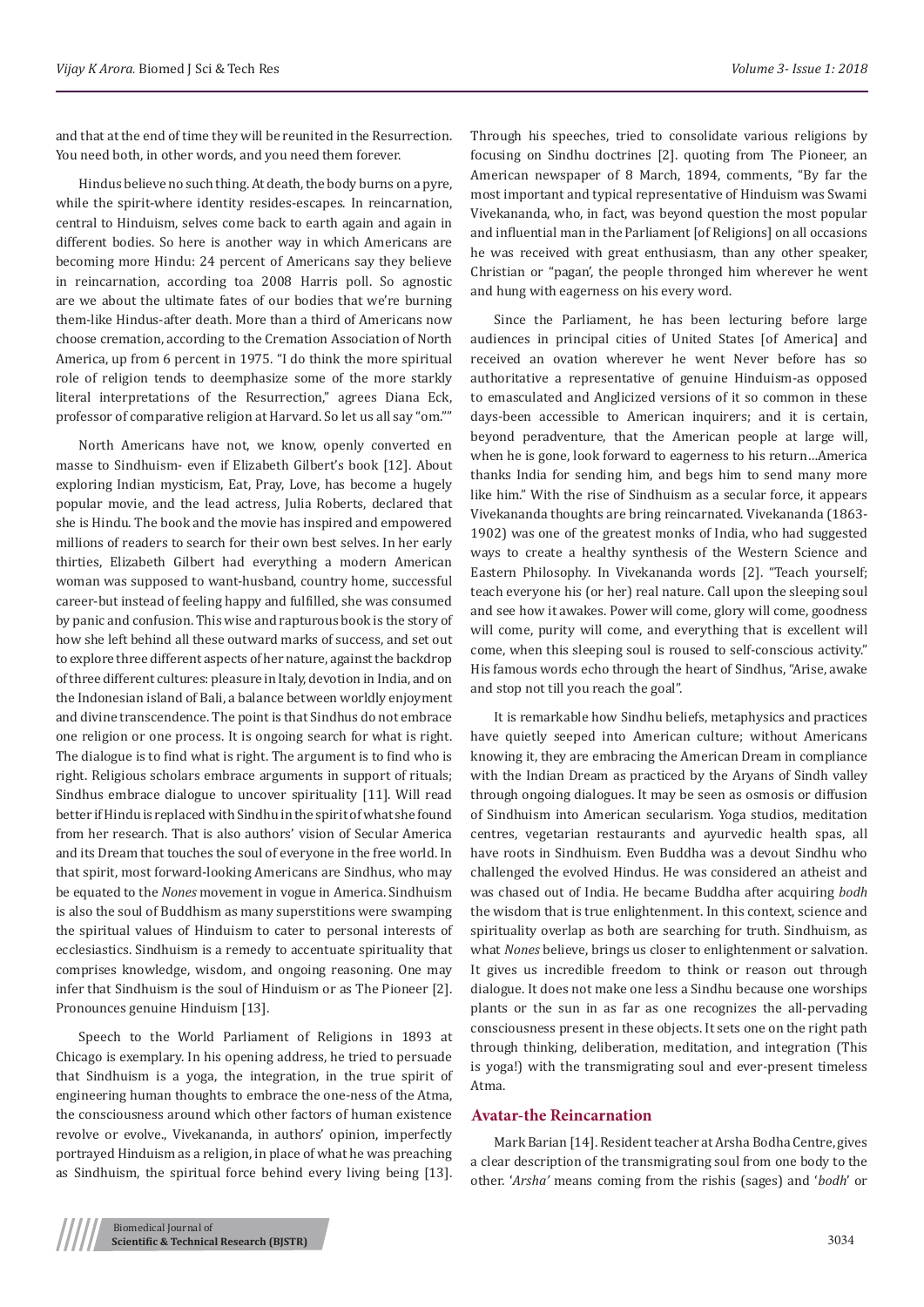and that at the end of time they will be reunited in the Resurrection. You need both, in other words, and you need them forever.

Hindus believe no such thing. At death, the body burns on a pyre, while the spirit-where identity resides-escapes. In reincarnation, central to Hinduism, selves come back to earth again and again in different bodies. So here is another way in which Americans are becoming more Hindu: 24 percent of Americans say they believe in reincarnation, according toa 2008 Harris poll. So agnostic are we about the ultimate fates of our bodies that we're burning them-like Hindus-after death. More than a third of Americans now choose cremation, according to the Cremation Association of North America, up from 6 percent in 1975. "I do think the more spiritual role of religion tends to deemphasize some of the more starkly literal interpretations of the Resurrection," agrees Diana Eck, professor of comparative religion at Harvard. So let us all say "om.""

North Americans have not, we know, openly converted en masse to Sindhuism- even if Elizabeth Gilbert's book [12]. About exploring Indian mysticism, Eat, Pray, Love, has become a hugely popular movie, and the lead actress, Julia Roberts, declared that she is Hindu. The book and the movie has inspired and empowered millions of readers to search for their own best selves. In her early thirties, Elizabeth Gilbert had everything a modern American woman was supposed to want-husband, country home, successful career-but instead of feeling happy and fulfilled, she was consumed by panic and confusion. This wise and rapturous book is the story of how she left behind all these outward marks of success, and set out to explore three different aspects of her nature, against the backdrop of three different cultures: pleasure in Italy, devotion in India, and on the Indonesian island of Bali, a balance between worldly enjoyment and divine transcendence. The point is that Sindhus do not embrace one religion or one process. It is ongoing search for what is right. The dialogue is to find what is right. The argument is to find who is right. Religious scholars embrace arguments in support of rituals; Sindhus embrace dialogue to uncover spirituality [11]. Will read better if Hindu is replaced with Sindhu in the spirit of what she found from her research. That is also authors' vision of Secular America and its Dream that touches the soul of everyone in the free world. In that spirit, most forward-looking Americans are Sindhus, who may be equated to the *Nones* movement in vogue in America. Sindhuism is also the soul of Buddhism as many superstitions were swamping the spiritual values of Hinduism to cater to personal interests of ecclesiastics. Sindhuism is a remedy to accentuate spirituality that comprises knowledge, wisdom, and ongoing reasoning. One may infer that Sindhuism is the soul of Hinduism or as The Pioneer [2]. Pronounces genuine Hinduism [13].

Speech to the World Parliament of Religions in 1893 at Chicago is exemplary. In his opening address, he tried to persuade that Sindhuism is a yoga, the integration, in the true spirit of engineering human thoughts to embrace the one-ness of the Atma, the consciousness around which other factors of human existence revolve or evolve., Vivekananda, in authors' opinion, imperfectly portrayed Hinduism as a religion, in place of what he was preaching as Sindhuism, the spiritual force behind every living being [13]. Through his speeches, tried to consolidate various religions by focusing on Sindhu doctrines [2]. quoting from The Pioneer, an American newspaper of 8 March, 1894, comments, "By far the most important and typical representative of Hinduism was Swami Vivekananda, who, in fact, was beyond question the most popular and influential man in the Parliament [of Religions] on all occasions he was received with great enthusiasm, than any other speaker, Christian or "pagan', the people thronged him wherever he went and hung with eagerness on his every word.

Since the Parliament, he has been lecturing before large audiences in principal cities of United States [of America] and received an ovation wherever he went Never before has so authoritative a representative of genuine Hinduism-as opposed to emasculated and Anglicized versions of it so common in these days-been accessible to American inquirers; and it is certain, beyond peradventure, that the American people at large will, when he is gone, look forward to eagerness to his return…America thanks India for sending him, and begs him to send many more like him." With the rise of Sindhuism as a secular force, it appears Vivekananda thoughts are bring reincarnated. Vivekananda (1863- 1902) was one of the greatest monks of India, who had suggested ways to create a healthy synthesis of the Western Science and Eastern Philosophy. In Vivekananda words [2]. "Teach yourself; teach everyone his (or her) real nature. Call upon the sleeping soul and see how it awakes. Power will come, glory will come, goodness will come, purity will come, and everything that is excellent will come, when this sleeping soul is roused to self-conscious activity." His famous words echo through the heart of Sindhus, "Arise, awake and stop not till you reach the goal".

It is remarkable how Sindhu beliefs, metaphysics and practices have quietly seeped into American culture; without Americans knowing it, they are embracing the American Dream in compliance with the Indian Dream as practiced by the Aryans of Sindh valley through ongoing dialogues. It may be seen as osmosis or diffusion of Sindhuism into American secularism. Yoga studios, meditation centres, vegetarian restaurants and ayurvedic health spas, all have roots in Sindhuism. Even Buddha was a devout Sindhu who challenged the evolved Hindus. He was considered an atheist and was chased out of India. He became Buddha after acquiring *bodh*  the wisdom that is true enlightenment. In this context, science and spirituality overlap as both are searching for truth. Sindhuism, as what *Nones* believe, brings us closer to enlightenment or salvation. It gives us incredible freedom to think or reason out through dialogue. It does not make one less a Sindhu because one worships plants or the sun in as far as one recognizes the all-pervading consciousness present in these objects. It sets one on the right path through thinking, deliberation, meditation, and integration (This is yoga!) with the transmigrating soul and ever-present timeless Atma.

#### **Avatar-the Reincarnation**

Mark Barian [14]. Resident teacher at Arsha Bodha Centre, gives a clear description of the transmigrating soul from one body to the other. '*Arsha'* means coming from the rishis (sages) and '*bodh*' or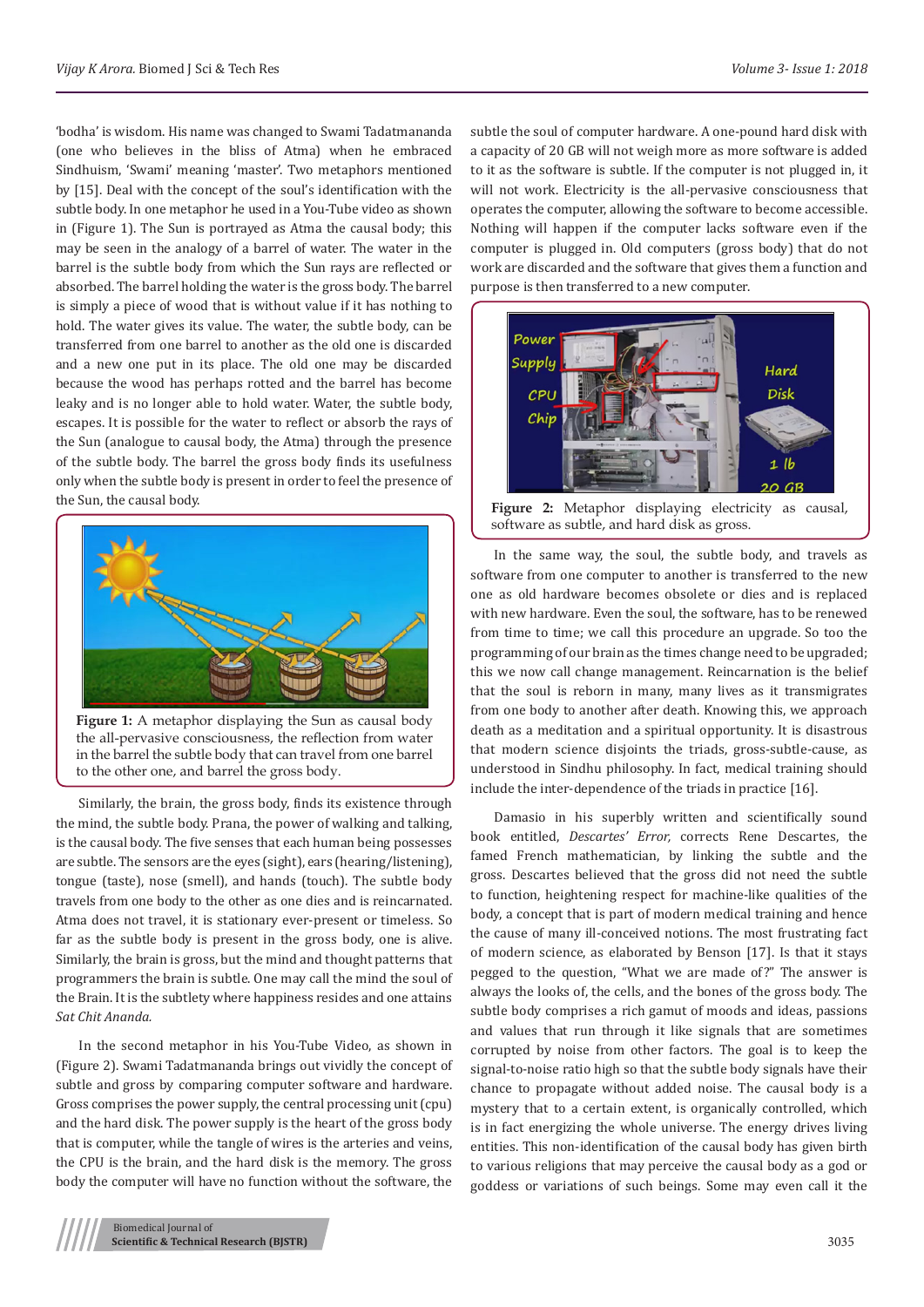'bodha' is wisdom. His name was changed to Swami Tadatmananda (one who believes in the bliss of Atma) when he embraced Sindhuism, 'Swami' meaning 'master'. Two metaphors mentioned by [15]. Deal with the concept of the soul's identification with the subtle body. In one metaphor he used in a You-Tube video as shown in (Figure 1). The Sun is portrayed as Atma the causal body; this may be seen in the analogy of a barrel of water. The water in the barrel is the subtle body from which the Sun rays are reflected or absorbed. The barrel holding the water is the gross body. The barrel is simply a piece of wood that is without value if it has nothing to hold. The water gives its value. The water, the subtle body, can be transferred from one barrel to another as the old one is discarded and a new one put in its place. The old one may be discarded because the wood has perhaps rotted and the barrel has become leaky and is no longer able to hold water. Water, the subtle body, escapes. It is possible for the water to reflect or absorb the rays of the Sun (analogue to causal body, the Atma) through the presence of the subtle body. The barrel the gross body finds its usefulness only when the subtle body is present in order to feel the presence of the Sun, the causal body.



**Figure 1:** A metaphor displaying the Sun as causal body the all-pervasive consciousness, the reflection from water in the barrel the subtle body that can travel from one barrel to the other one, and barrel the gross body.

Similarly, the brain, the gross body, finds its existence through the mind, the subtle body. Prana, the power of walking and talking, is the causal body. The five senses that each human being possesses are subtle. The sensors are the eyes (sight), ears (hearing/listening), tongue (taste), nose (smell), and hands (touch). The subtle body travels from one body to the other as one dies and is reincarnated. Atma does not travel, it is stationary ever-present or timeless. So far as the subtle body is present in the gross body, one is alive. Similarly, the brain is gross, but the mind and thought patterns that programmers the brain is subtle. One may call the mind the soul of the Brain. It is the subtlety where happiness resides and one attains *Sat Chit Ananda.* 

In the second metaphor in his You-Tube Video, as shown in (Figure 2). Swami Tadatmananda brings out vividly the concept of subtle and gross by comparing computer software and hardware. Gross comprises the power supply, the central processing unit (cpu) and the hard disk. The power supply is the heart of the gross body that is computer, while the tangle of wires is the arteries and veins, the CPU is the brain, and the hard disk is the memory. The gross body the computer will have no function without the software, the

subtle the soul of computer hardware. A one-pound hard disk with a capacity of 20 GB will not weigh more as more software is added to it as the software is subtle. If the computer is not plugged in, it will not work. Electricity is the all-pervasive consciousness that operates the computer, allowing the software to become accessible. Nothing will happen if the computer lacks software even if the computer is plugged in. Old computers (gross body) that do not work are discarded and the software that gives them a function and purpose is then transferred to a new computer.



**Figure 2:** Metaphor displaying electricity as causal, software as subtle, and hard disk as gross.

In the same way, the soul, the subtle body, and travels as software from one computer to another is transferred to the new one as old hardware becomes obsolete or dies and is replaced with new hardware. Even the soul, the software, has to be renewed from time to time; we call this procedure an upgrade. So too the programming of our brain as the times change need to be upgraded; this we now call change management. Reincarnation is the belief that the soul is reborn in many, many lives as it transmigrates from one body to another after death. Knowing this, we approach death as a meditation and a spiritual opportunity. It is disastrous that modern science disjoints the triads, gross-subtle-cause, as understood in Sindhu philosophy. In fact, medical training should include the inter-dependence of the triads in practice [16].

Damasio in his superbly written and scientifically sound book entitled, *Descartes' Error,* corrects Rene Descartes, the famed French mathematician, by linking the subtle and the gross. Descartes believed that the gross did not need the subtle to function, heightening respect for machine-like qualities of the body, a concept that is part of modern medical training and hence the cause of many ill-conceived notions. The most frustrating fact of modern science, as elaborated by Benson [17]. Is that it stays pegged to the question, "What we are made of?" The answer is always the looks of, the cells, and the bones of the gross body. The subtle body comprises a rich gamut of moods and ideas, passions and values that run through it like signals that are sometimes corrupted by noise from other factors. The goal is to keep the signal-to-noise ratio high so that the subtle body signals have their chance to propagate without added noise. The causal body is a mystery that to a certain extent, is organically controlled, which is in fact energizing the whole universe. The energy drives living entities. This non-identification of the causal body has given birth to various religions that may perceive the causal body as a god or goddess or variations of such beings. Some may even call it the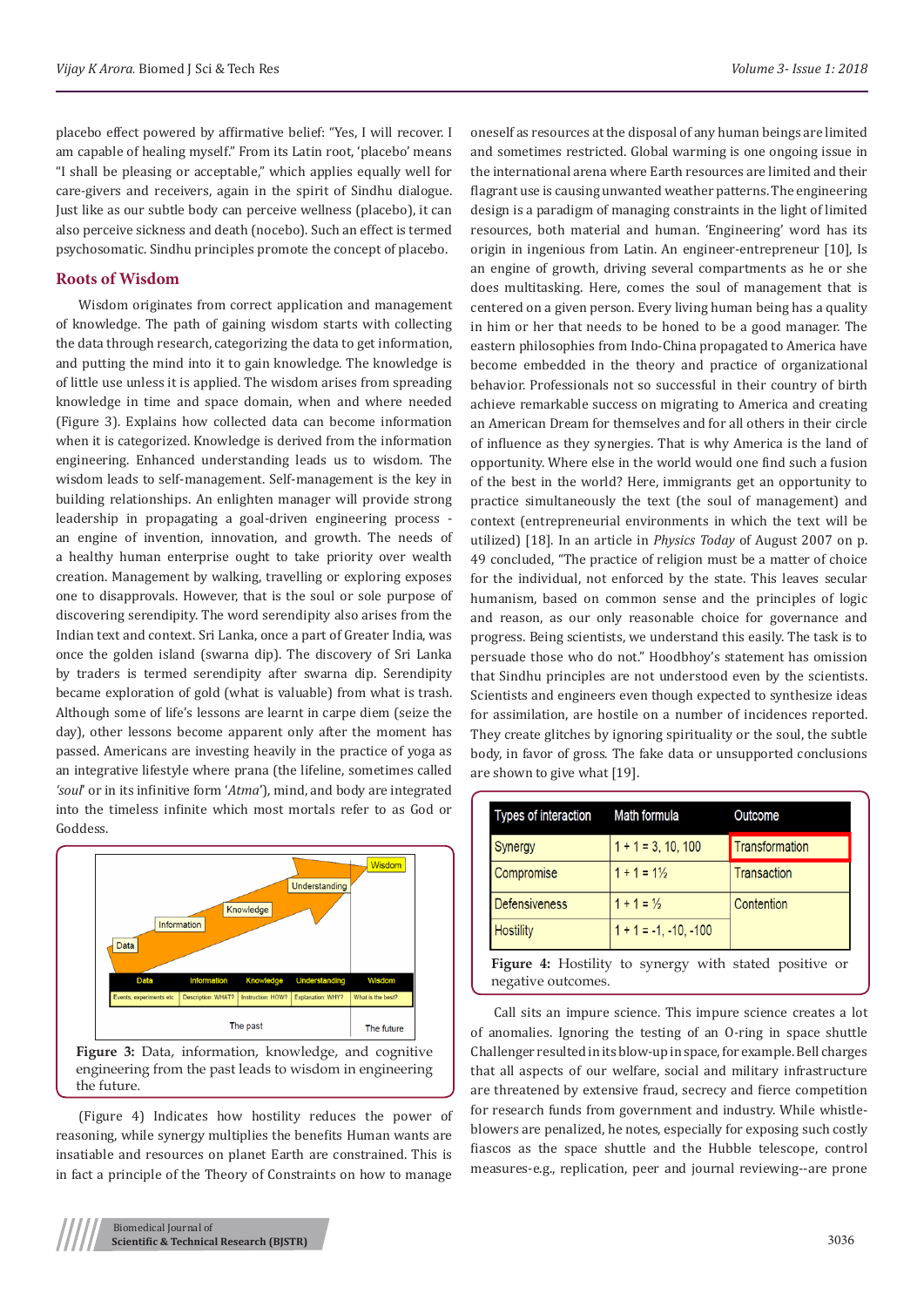placebo effect powered by affirmative belief: "Yes, I will recover. I am capable of healing myself." From its Latin root, 'placebo' means "I shall be pleasing or acceptable," which applies equally well for care-givers and receivers, again in the spirit of Sindhu dialogue. Just like as our subtle body can perceive wellness (placebo), it can also perceive sickness and death (nocebo). Such an effect is termed psychosomatic. Sindhu principles promote the concept of placebo.

## **Roots of Wisdom**

Wisdom originates from correct application and management of knowledge. The path of gaining wisdom starts with collecting the data through research, categorizing the data to get information, and putting the mind into it to gain knowledge. The knowledge is of little use unless it is applied. The wisdom arises from spreading knowledge in time and space domain, when and where needed (Figure 3). Explains how collected data can become information when it is categorized. Knowledge is derived from the information engineering. Enhanced understanding leads us to wisdom. The wisdom leads to self-management. Self-management is the key in building relationships. An enlighten manager will provide strong leadership in propagating a goal-driven engineering process an engine of invention, innovation, and growth. The needs of a healthy human enterprise ought to take priority over wealth creation. Management by walking, travelling or exploring exposes one to disapprovals. However, that is the soul or sole purpose of discovering serendipity. The word serendipity also arises from the Indian text and context. Sri Lanka, once a part of Greater India, was once the golden island (swarna dip). The discovery of Sri Lanka by traders is termed serendipity after swarna dip. Serendipity became exploration of gold (what is valuable) from what is trash. Although some of life's lessons are learnt in carpe diem (seize the day), other lessons become apparent only after the moment has passed. Americans are investing heavily in the practice of yoga as an integrative lifestyle where prana (the lifeline, sometimes called *'soul*' or in its infinitive form '*Atma*'), mind, and body are integrated into the timeless infinite which most mortals refer to as God or Goddess.



(Figure 4) Indicates how hostility reduces the power of reasoning, while synergy multiplies the benefits Human wants are insatiable and resources on planet Earth are constrained. This is in fact a principle of the Theory of Constraints on how to manage

oneself as resources at the disposal of any human beings are limited and sometimes restricted. Global warming is one ongoing issue in the international arena where Earth resources are limited and their flagrant use is causing unwanted weather patterns. The engineering design is a paradigm of managing constraints in the light of limited resources, both material and human. 'Engineering' word has its origin in ingenious from Latin. An engineer-entrepreneur [10], Is an engine of growth, driving several compartments as he or she does multitasking. Here, comes the soul of management that is centered on a given person. Every living human being has a quality in him or her that needs to be honed to be a good manager. The eastern philosophies from Indo-China propagated to America have become embedded in the theory and practice of organizational behavior. Professionals not so successful in their country of birth achieve remarkable success on migrating to America and creating an American Dream for themselves and for all others in their circle of influence as they synergies. That is why America is the land of opportunity. Where else in the world would one find such a fusion of the best in the world? Here, immigrants get an opportunity to practice simultaneously the text (the soul of management) and context (entrepreneurial environments in which the text will be utilized) [18]. In an article in *Physics Today* of August 2007 on p. 49 concluded, "The practice of religion must be a matter of choice for the individual, not enforced by the state. This leaves secular humanism, based on common sense and the principles of logic and reason, as our only reasonable choice for governance and progress. Being scientists, we understand this easily. The task is to persuade those who do not." Hoodbhoy's statement has omission that Sindhu principles are not understood even by the scientists. Scientists and engineers even though expected to synthesize ideas for assimilation, are hostile on a number of incidences reported. They create glitches by ignoring spirituality or the soul, the subtle body, in favor of gross. The fake data or unsupported conclusions are shown to give what [19].

| Types of interaction | Math formula            | Outcome        |
|----------------------|-------------------------|----------------|
| Synergy              | $1 + 1 = 3, 10, 100$    | Transformation |
| Compromise           | $1 + 1 = 1\frac{1}{2}$  | Transaction    |
| <b>Defensiveness</b> | $1 + 1 = \frac{1}{2}$   | Contention     |
| <b>Hostility</b>     | $1 + 1 = -1, -10, -100$ |                |

Figure 4: Hostility to synergy with stated positive or negative outcomes.

Call sits an impure science. This impure science creates a lot of anomalies. Ignoring the testing of an O-ring in space shuttle Challenger resulted in its blow-up in space, for example. Bell charges that all aspects of our welfare, social and military infrastructure are threatened by extensive fraud, secrecy and fierce competition for research funds from government and industry. While whistleblowers are penalized, he notes, especially for exposing such costly fiascos as the space shuttle and the Hubble telescope, control measures-e.g., replication, peer and journal reviewing--are prone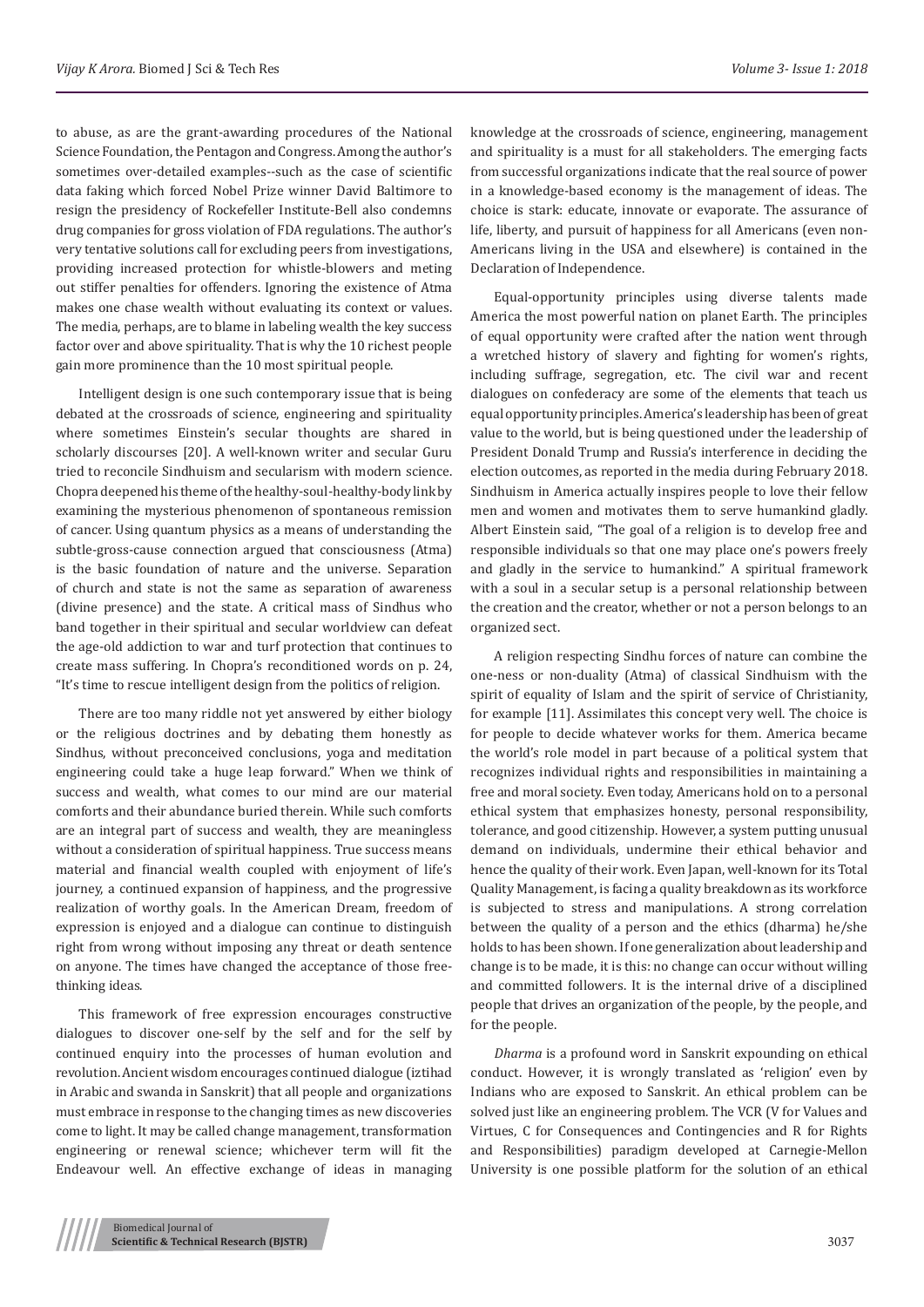to abuse, as are the grant-awarding procedures of the National Science Foundation, the Pentagon and Congress. Among the author's sometimes over-detailed examples--such as the case of scientific data faking which forced Nobel Prize winner David Baltimore to resign the presidency of Rockefeller Institute-Bell also condemns drug companies for gross violation of FDA regulations. The author's very tentative solutions call for excluding peers from investigations, providing increased protection for whistle-blowers and meting out stiffer penalties for offenders. Ignoring the existence of Atma makes one chase wealth without evaluating its context or values. The media, perhaps, are to blame in labeling wealth the key success factor over and above spirituality. That is why the 10 richest people gain more prominence than the 10 most spiritual people.

Intelligent design is one such contemporary issue that is being debated at the crossroads of science, engineering and spirituality where sometimes Einstein's secular thoughts are shared in scholarly discourses [20]. A well-known writer and secular Guru tried to reconcile Sindhuism and secularism with modern science. Chopra deepened his theme of the healthy-soul-healthy-body link by examining the mysterious phenomenon of spontaneous remission of cancer. Using quantum physics as a means of understanding the subtle-gross-cause connection argued that consciousness (Atma) is the basic foundation of nature and the universe. Separation of church and state is not the same as separation of awareness (divine presence) and the state. A critical mass of Sindhus who band together in their spiritual and secular worldview can defeat the age-old addiction to war and turf protection that continues to create mass suffering. In Chopra's reconditioned words on p. 24, "It's time to rescue intelligent design from the politics of religion.

There are too many riddle not yet answered by either biology or the religious doctrines and by debating them honestly as Sindhus, without preconceived conclusions, yoga and meditation engineering could take a huge leap forward." When we think of success and wealth, what comes to our mind are our material comforts and their abundance buried therein. While such comforts are an integral part of success and wealth, they are meaningless without a consideration of spiritual happiness. True success means material and financial wealth coupled with enjoyment of life's journey, a continued expansion of happiness, and the progressive realization of worthy goals. In the American Dream, freedom of expression is enjoyed and a dialogue can continue to distinguish right from wrong without imposing any threat or death sentence on anyone. The times have changed the acceptance of those freethinking ideas.

This framework of free expression encourages constructive dialogues to discover one-self by the self and for the self by continued enquiry into the processes of human evolution and revolution. Ancient wisdom encourages continued dialogue (iztihad in Arabic and swanda in Sanskrit) that all people and organizations must embrace in response to the changing times as new discoveries come to light. It may be called change management, transformation engineering or renewal science; whichever term will fit the Endeavour well. An effective exchange of ideas in managing knowledge at the crossroads of science, engineering, management and spirituality is a must for all stakeholders. The emerging facts from successful organizations indicate that the real source of power in a knowledge-based economy is the management of ideas. The choice is stark: educate, innovate or evaporate. The assurance of life, liberty, and pursuit of happiness for all Americans (even non-Americans living in the USA and elsewhere) is contained in the Declaration of Independence.

Equal-opportunity principles using diverse talents made America the most powerful nation on planet Earth. The principles of equal opportunity were crafted after the nation went through a wretched history of slavery and fighting for women's rights, including suffrage, segregation, etc. The civil war and recent dialogues on confederacy are some of the elements that teach us equal opportunity principles. America's leadership has been of great value to the world, but is being questioned under the leadership of President Donald Trump and Russia's interference in deciding the election outcomes, as reported in the media during February 2018. Sindhuism in America actually inspires people to love their fellow men and women and motivates them to serve humankind gladly. Albert Einstein said, "The goal of a religion is to develop free and responsible individuals so that one may place one's powers freely and gladly in the service to humankind." A spiritual framework with a soul in a secular setup is a personal relationship between the creation and the creator, whether or not a person belongs to an organized sect.

A religion respecting Sindhu forces of nature can combine the one-ness or non-duality (Atma) of classical Sindhuism with the spirit of equality of Islam and the spirit of service of Christianity, for example [11]. Assimilates this concept very well. The choice is for people to decide whatever works for them. America became the world's role model in part because of a political system that recognizes individual rights and responsibilities in maintaining a free and moral society. Even today, Americans hold on to a personal ethical system that emphasizes honesty, personal responsibility, tolerance, and good citizenship. However, a system putting unusual demand on individuals, undermine their ethical behavior and hence the quality of their work. Even Japan, well-known for its Total Quality Management, is facing a quality breakdown as its workforce is subjected to stress and manipulations. A strong correlation between the quality of a person and the ethics (dharma) he/she holds to has been shown. If one generalization about leadership and change is to be made, it is this: no change can occur without willing and committed followers. It is the internal drive of a disciplined people that drives an organization of the people, by the people, and for the people.

*Dharma* is a profound word in Sanskrit expounding on ethical conduct. However, it is wrongly translated as 'religion' even by Indians who are exposed to Sanskrit. An ethical problem can be solved just like an engineering problem. The VCR (V for Values and Virtues, C for Consequences and Contingencies and R for Rights and Responsibilities) paradigm developed at Carnegie-Mellon University is one possible platform for the solution of an ethical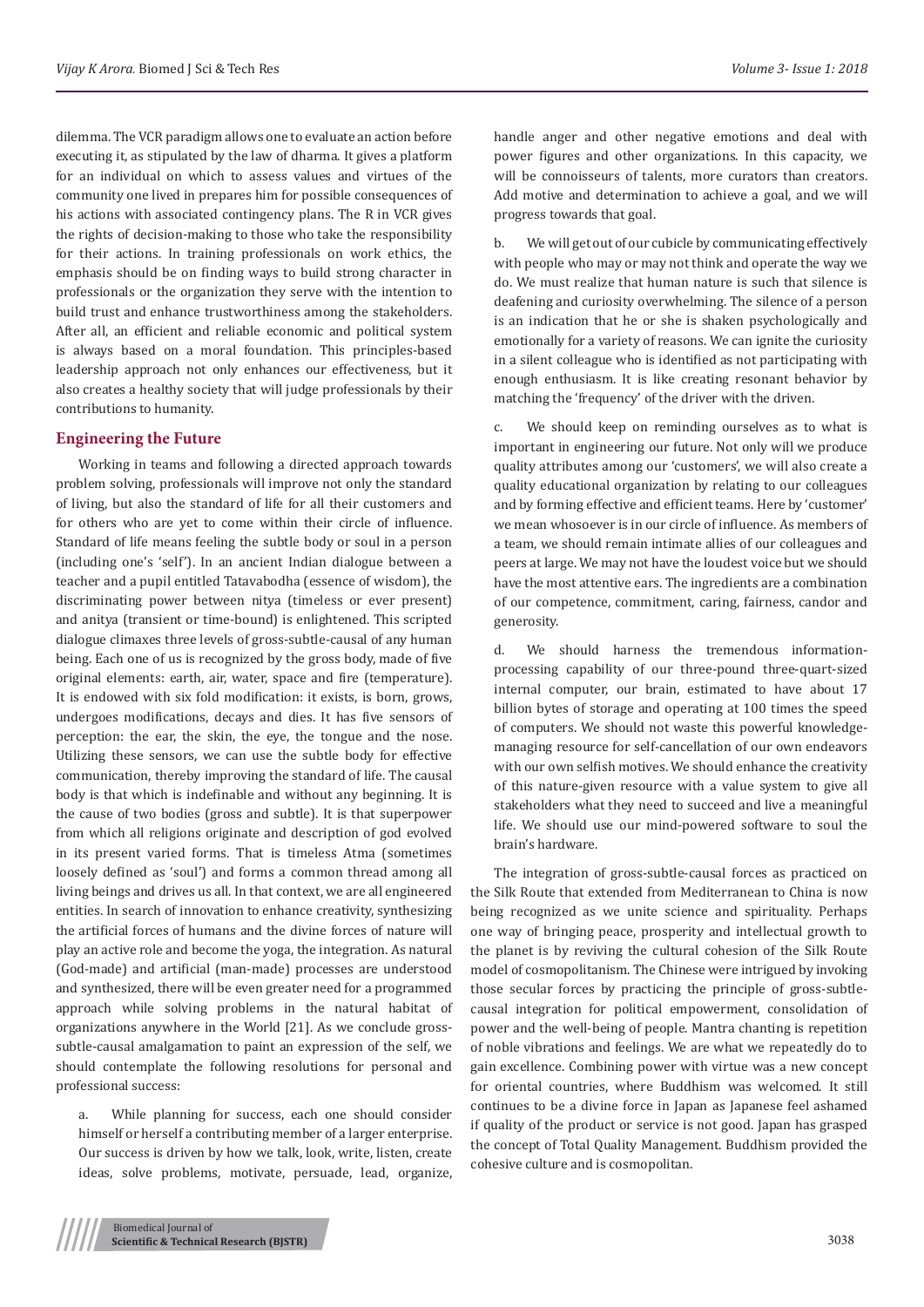dilemma. The VCR paradigm allows one to evaluate an action before executing it, as stipulated by the law of dharma. It gives a platform for an individual on which to assess values and virtues of the community one lived in prepares him for possible consequences of his actions with associated contingency plans. The R in VCR gives the rights of decision-making to those who take the responsibility for their actions. In training professionals on work ethics, the emphasis should be on finding ways to build strong character in professionals or the organization they serve with the intention to build trust and enhance trustworthiness among the stakeholders. After all, an efficient and reliable economic and political system is always based on a moral foundation. This principles-based leadership approach not only enhances our effectiveness, but it also creates a healthy society that will judge professionals by their contributions to humanity.

## **Engineering the Future**

Working in teams and following a directed approach towards problem solving, professionals will improve not only the standard of living, but also the standard of life for all their customers and for others who are yet to come within their circle of influence. Standard of life means feeling the subtle body or soul in a person (including one's 'self'). In an ancient Indian dialogue between a teacher and a pupil entitled Tatavabodha (essence of wisdom), the discriminating power between nitya (timeless or ever present) and anitya (transient or time-bound) is enlightened. This scripted dialogue climaxes three levels of gross-subtle-causal of any human being. Each one of us is recognized by the gross body, made of five original elements: earth, air, water, space and fire (temperature). It is endowed with six fold modification: it exists, is born, grows, undergoes modifications, decays and dies. It has five sensors of perception: the ear, the skin, the eye, the tongue and the nose. Utilizing these sensors, we can use the subtle body for effective communication, thereby improving the standard of life. The causal body is that which is indefinable and without any beginning. It is the cause of two bodies (gross and subtle). It is that superpower from which all religions originate and description of god evolved in its present varied forms. That is timeless Atma (sometimes loosely defined as 'soul') and forms a common thread among all living beings and drives us all. In that context, we are all engineered entities. In search of innovation to enhance creativity, synthesizing the artificial forces of humans and the divine forces of nature will play an active role and become the yoga, the integration. As natural (God-made) and artificial (man-made) processes are understood and synthesized, there will be even greater need for a programmed approach while solving problems in the natural habitat of organizations anywhere in the World [21]. As we conclude grosssubtle-causal amalgamation to paint an expression of the self, we should contemplate the following resolutions for personal and professional success:

a. While planning for success, each one should consider himself or herself a contributing member of a larger enterprise. Our success is driven by how we talk, look, write, listen, create ideas, solve problems, motivate, persuade, lead, organize,

handle anger and other negative emotions and deal with power figures and other organizations. In this capacity, we will be connoisseurs of talents, more curators than creators. Add motive and determination to achieve a goal, and we will progress towards that goal.

b. We will get out of our cubicle by communicating effectively with people who may or may not think and operate the way we do. We must realize that human nature is such that silence is deafening and curiosity overwhelming. The silence of a person is an indication that he or she is shaken psychologically and emotionally for a variety of reasons. We can ignite the curiosity in a silent colleague who is identified as not participating with enough enthusiasm. It is like creating resonant behavior by matching the 'frequency' of the driver with the driven.

c. We should keep on reminding ourselves as to what is important in engineering our future. Not only will we produce quality attributes among our 'customers', we will also create a quality educational organization by relating to our colleagues and by forming effective and efficient teams. Here by 'customer' we mean whosoever is in our circle of influence. As members of a team, we should remain intimate allies of our colleagues and peers at large. We may not have the loudest voice but we should have the most attentive ears. The ingredients are a combination of our competence, commitment, caring, fairness, candor and generosity.

d. We should harness the tremendous informationprocessing capability of our three-pound three-quart-sized internal computer, our brain, estimated to have about 17 billion bytes of storage and operating at 100 times the speed of computers. We should not waste this powerful knowledgemanaging resource for self-cancellation of our own endeavors with our own selfish motives. We should enhance the creativity of this nature-given resource with a value system to give all stakeholders what they need to succeed and live a meaningful life. We should use our mind-powered software to soul the brain's hardware.

The integration of gross-subtle-causal forces as practiced on the Silk Route that extended from Mediterranean to China is now being recognized as we unite science and spirituality. Perhaps one way of bringing peace, prosperity and intellectual growth to the planet is by reviving the cultural cohesion of the Silk Route model of cosmopolitanism. The Chinese were intrigued by invoking those secular forces by practicing the principle of gross-subtlecausal integration for political empowerment, consolidation of power and the well-being of people. Mantra chanting is repetition of noble vibrations and feelings. We are what we repeatedly do to gain excellence. Combining power with virtue was a new concept for oriental countries, where Buddhism was welcomed. It still continues to be a divine force in Japan as Japanese feel ashamed if quality of the product or service is not good. Japan has grasped the concept of Total Quality Management. Buddhism provided the cohesive culture and is cosmopolitan.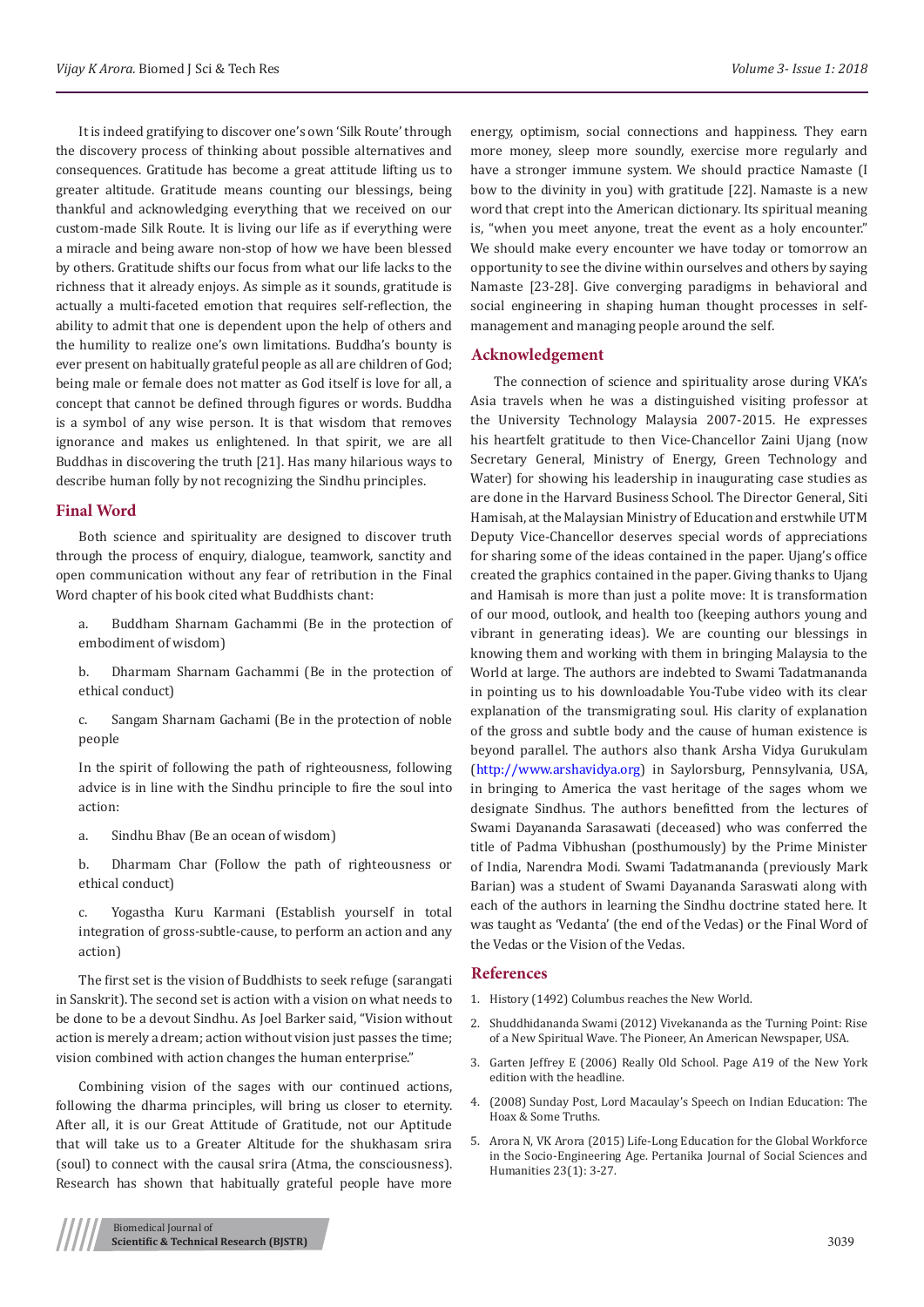It is indeed gratifying to discover one's own 'Silk Route' through the discovery process of thinking about possible alternatives and consequences. Gratitude has become a great attitude lifting us to greater altitude. Gratitude means counting our blessings, being thankful and acknowledging everything that we received on our custom-made Silk Route. It is living our life as if everything were a miracle and being aware non-stop of how we have been blessed by others. Gratitude shifts our focus from what our life lacks to the richness that it already enjoys. As simple as it sounds, gratitude is actually a multi-faceted emotion that requires self-reflection, the ability to admit that one is dependent upon the help of others and the humility to realize one's own limitations. Buddha's bounty is ever present on habitually grateful people as all are children of God; being male or female does not matter as God itself is love for all, a concept that cannot be defined through figures or words. Buddha is a symbol of any wise person. It is that wisdom that removes ignorance and makes us enlightened. In that spirit, we are all Buddhas in discovering the truth [21]. Has many hilarious ways to describe human folly by not recognizing the Sindhu principles.

#### **Final Word**

Both science and spirituality are designed to discover truth through the process of enquiry, dialogue, teamwork, sanctity and open communication without any fear of retribution in the Final Word chapter of his book cited what Buddhists chant:

- a. Buddham Sharnam Gachammi (Be in the protection of embodiment of wisdom)
- b. Dharmam Sharnam Gachammi (Be in the protection of ethical conduct)

c. Sangam Sharnam Gachami (Be in the protection of noble people

In the spirit of following the path of righteousness, following advice is in line with the Sindhu principle to fire the soul into action:

a. Sindhu Bhav (Be an ocean of wisdom)

b. Dharmam Char (Follow the path of righteousness or ethical conduct)

c. Yogastha Kuru Karmani (Establish yourself in total integration of gross-subtle-cause, to perform an action and any action)

The first set is the vision of Buddhists to seek refuge (sarangati in Sanskrit). The second set is action with a vision on what needs to be done to be a devout Sindhu. As Joel Barker said, "Vision without action is merely a dream; action without vision just passes the time; vision combined with action changes the human enterprise."

Combining vision of the sages with our continued actions, following the dharma principles, will bring us closer to eternity. After all, it is our Great Attitude of Gratitude, not our Aptitude that will take us to a Greater Altitude for the shukhasam srira (soul) to connect with the causal srira (Atma, the consciousness). Research has shown that habitually grateful people have more energy, optimism, social connections and happiness. They earn more money, sleep more soundly, exercise more regularly and have a stronger immune system. We should practice Namaste (I bow to the divinity in you) with gratitude [22]. Namaste is a new word that crept into the American dictionary. Its spiritual meaning is, "when you meet anyone, treat the event as a holy encounter." We should make every encounter we have today or tomorrow an opportunity to see the divine within ourselves and others by saying Namaste [23-28]. Give converging paradigms in behavioral and social engineering in shaping human thought processes in selfmanagement and managing people around the self.

#### **Acknowledgement**

The connection of science and spirituality arose during VKA's Asia travels when he was a distinguished visiting professor at the University Technology Malaysia 2007-2015. He expresses his heartfelt gratitude to then Vice-Chancellor Zaini Ujang (now Secretary General, Ministry of Energy, Green Technology and Water) for showing his leadership in inaugurating case studies as are done in the Harvard Business School. The Director General, Siti Hamisah, at the Malaysian Ministry of Education and erstwhile UTM Deputy Vice-Chancellor deserves special words of appreciations for sharing some of the ideas contained in the paper. Ujang's office created the graphics contained in the paper. Giving thanks to Ujang and Hamisah is more than just a polite move: It is transformation of our mood, outlook, and health too (keeping authors young and vibrant in generating ideas). We are counting our blessings in knowing them and working with them in bringing Malaysia to the World at large. The authors are indebted to Swami Tadatmananda in pointing us to his downloadable You-Tube video with its clear explanation of the transmigrating soul. His clarity of explanation of the gross and subtle body and the cause of human existence is beyond parallel. The authors also thank Arsha Vidya Gurukulam [\(http://www.arshavidya.org\)](http://www.arshavidya.org/) in Saylorsburg, Pennsylvania, USA, in bringing to America the vast heritage of the sages whom we designate Sindhus. The authors benefitted from the lectures of Swami Dayananda Sarasawati (deceased) who was conferred the title of Padma Vibhushan (posthumously) by the Prime Minister of India, Narendra Modi. Swami Tadatmananda (previously Mark Barian) was a student of Swami Dayananda Saraswati along with each of the authors in learning the Sindhu doctrine stated here. It was taught as 'Vedanta' (the end of the Vedas) or the Final Word of the Vedas or the Vision of the Vedas.

#### **References**

- 1. History (1492) Columbus reaches the New World.
- 2. [Shuddhidananda Swami \(2012\) Vivekananda as the Turning Point: Rise](https://shop.advaitaashrama.org/product/vivekananda-as-the-turning-point/) [of a New Spiritual Wave. The Pioneer, An American Newspaper, USA.](https://shop.advaitaashrama.org/product/vivekananda-as-the-turning-point/)
- 3. [Garten Jeffrey E \(2006\) Really Old School. Page A19 of the New York](http://www.nytimes.com/2006/12/09/opinion/09garten.html?ex=1166331600&en=4171c5ec7d0ff35e&ei=5070&emc=eta1) [edition with the headline.](http://www.nytimes.com/2006/12/09/opinion/09garten.html?ex=1166331600&en=4171c5ec7d0ff35e&ei=5070&emc=eta1)
- 4. (2008) Sunday Post, Lord Macaulay's Speech on Indian Education: The Hoax & Some Truths.
- 5. [Arora N, VK Arora \(2015\) Life-Long Education for the Global Workforce](http://web.a.ebscohost.com/abstract?direct=true&profile=ehost&scope=site&authtype=crawler&jrnl=01287702&AN=102029713&h=jy1GZvO5H1Hy5cQMyuetwOnU4jvP56G2Y%2b43lBSrJGIoAvEaBiYUg9uxnlIqwhdYcvLJSPTOdUDksZggrmZNUg%3d%3d&crl=c&resultNs=AdminWebAuth&resultLocal=Er) [in the Socio-Engineering Age. Pertanika Journal of Social Sciences and](http://web.a.ebscohost.com/abstract?direct=true&profile=ehost&scope=site&authtype=crawler&jrnl=01287702&AN=102029713&h=jy1GZvO5H1Hy5cQMyuetwOnU4jvP56G2Y%2b43lBSrJGIoAvEaBiYUg9uxnlIqwhdYcvLJSPTOdUDksZggrmZNUg%3d%3d&crl=c&resultNs=AdminWebAuth&resultLocal=Er) [Humanities 23\(1\): 3-27.](http://web.a.ebscohost.com/abstract?direct=true&profile=ehost&scope=site&authtype=crawler&jrnl=01287702&AN=102029713&h=jy1GZvO5H1Hy5cQMyuetwOnU4jvP56G2Y%2b43lBSrJGIoAvEaBiYUg9uxnlIqwhdYcvLJSPTOdUDksZggrmZNUg%3d%3d&crl=c&resultNs=AdminWebAuth&resultLocal=Er)